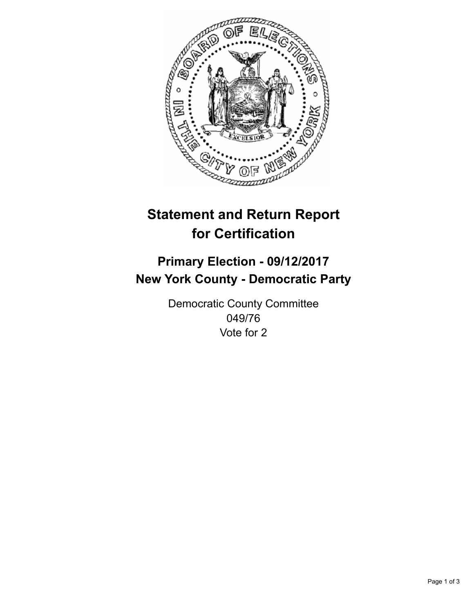

## **Statement and Return Report for Certification**

## **Primary Election - 09/12/2017 New York County - Democratic Party**

Democratic County Committee 049/76 Vote for 2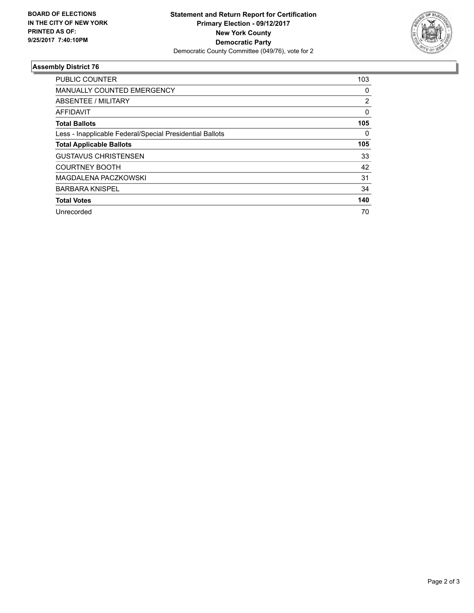

## **Assembly District 76**

| <b>PUBLIC COUNTER</b>                                    | 103      |
|----------------------------------------------------------|----------|
| MANUALLY COUNTED EMERGENCY                               | 0        |
| ABSENTEE / MILITARY                                      | 2        |
| AFFIDAVIT                                                | $\Omega$ |
| <b>Total Ballots</b>                                     | 105      |
| Less - Inapplicable Federal/Special Presidential Ballots | 0        |
| <b>Total Applicable Ballots</b>                          | 105      |
| <b>GUSTAVUS CHRISTENSEN</b>                              | 33       |
| <b>COURTNEY BOOTH</b>                                    | 42       |
| MAGDALENA PACZKOWSKI                                     | 31       |
| <b>BARBARA KNISPEL</b>                                   | 34       |
| <b>Total Votes</b>                                       | 140      |
| Unrecorded                                               | 70       |